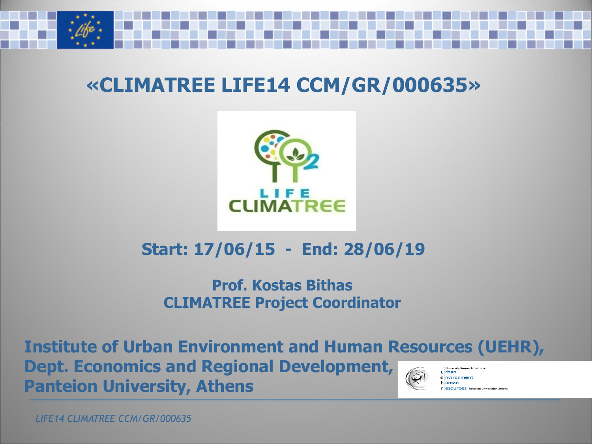

#### **«CLIMATREE LIFE14 CCM/GR/000635»**



#### **Start: 17/06/15 - End: 28/06/19**

#### **Prof. Kostas Bithas CLIMATREE Project Coordinator**

**Institute of Urban Environment and Human Resources (UEHR), Dept. Economics and Regional Development, Injversity Research Institut** urban e nvironment **Panteion University, Athens**  h uman **F eSOUTCeS** Panteion Universtity, Athen

*LIFE14 CLIMATREE CCM/GR/000635*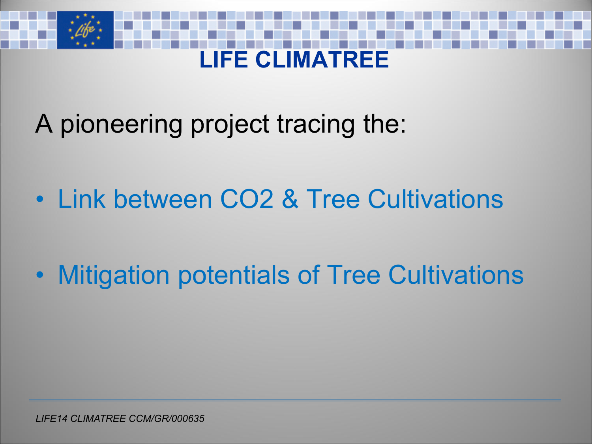# **LIFE CLIMATREE**

A pioneering project tracing the:

- Link between CO2 & Tree Cultivations
- Mitigation potentials of Tree Cultivations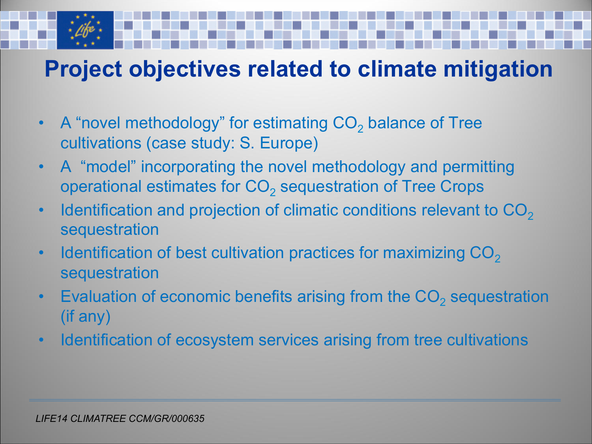#### **Project objectives related to climate mitigation**

- A "novel methodology" for estimating  $CO<sub>2</sub>$  balance of Tree cultivations (case study: S. Europe)
- A "model" incorporating the novel methodology and permitting operational estimates for  $CO<sub>2</sub>$  sequestration of Tree Crops
- Identification and projection of climatic conditions relevant to  $CO<sub>2</sub>$ sequestration
- Identification of best cultivation practices for maximizing  $CO<sub>2</sub>$ sequestration
- Evaluation of economic benefits arising from the  $CO<sub>2</sub>$  sequestration (if any)
- Identification of ecosystem services arising from tree cultivations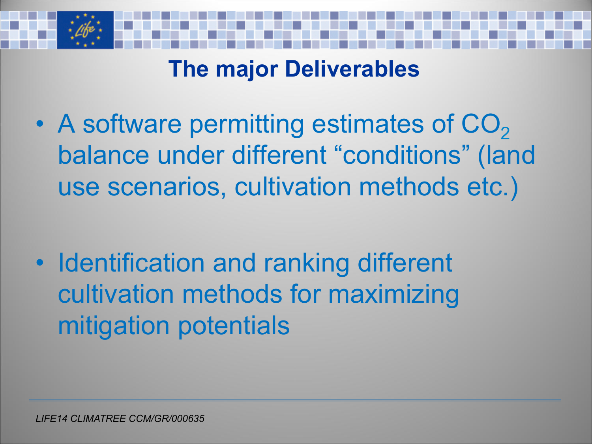

#### **The major Deliverables**

• A software permitting estimates of  $CO<sub>2</sub>$ balance under different "conditions" (land use scenarios, cultivation methods etc.)

• Identification and ranking different cultivation methods for maximizing mitigation potentials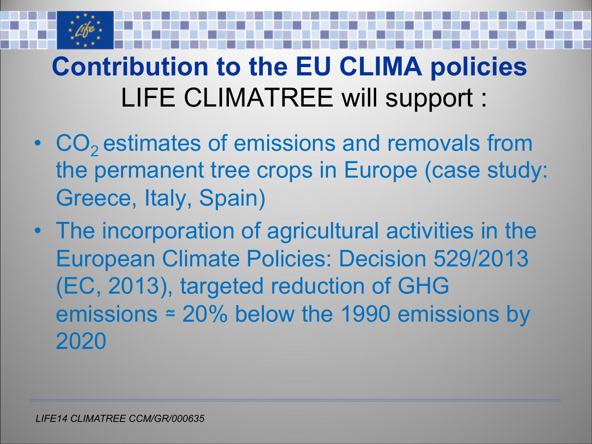## **Contribution to the EU CLIMA policies** LIFE CLIMATREE will support :

- CO<sub>2</sub> estimates of emissions and removals from the permanent tree crops in Europe (case study: Greece, Italy, Spain)
- The incorporation of agricultural activities in the European Climate Policies: Decision 529/2013 (EC, 2013), targeted reduction of GHG emissions ≃ 20% below the 1990 emissions by 2020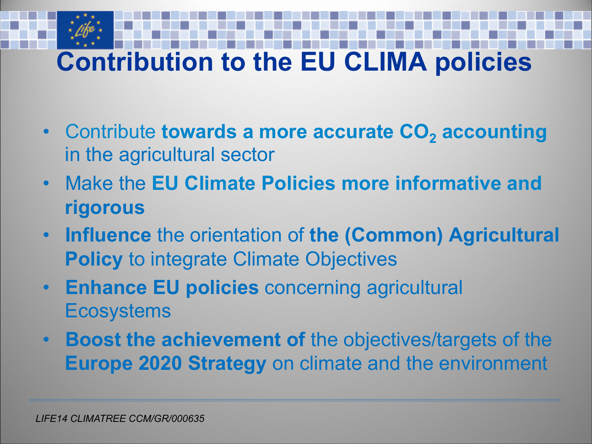## **Contribution to the EU CLIMA policies**

- Contribute **towards a more accurate CO<sub>2</sub> accounting** in the agricultural sector
- Make the **EU Climate Policies more informative and rigorous**
- **Influence** the orientation of **the (Common) Agricultural Policy to integrate Climate Objectives**
- **Enhance EU policies** concerning agricultural **Ecosystems**
- **Boost the achievement of** the objectives/targets of the **Europe 2020 Strategy** on climate and the environment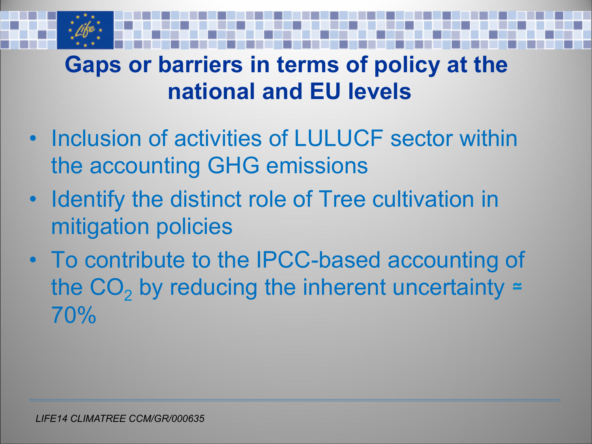### **Gaps or barriers in terms of policy at the national and EU levels**

- Inclusion of activities of LULUCF sector within the accounting GHG emissions
- Identify the distinct role of Tree cultivation in mitigation policies
- To contribute to the IPCC-based accounting of the  $CO<sub>2</sub>$  by reducing the inherent uncertainty = 70%